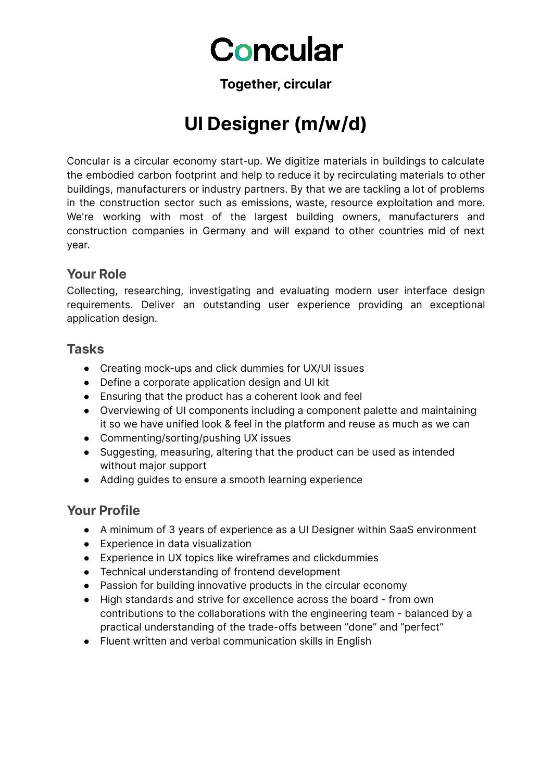# Concular

#### **Together, circular**

# **UI Designer (m/w/d)**

Concular is a circular economy start-up. We digitize materials in buildings to calculate the embodied carbon footprint and help to reduce it by recirculating materials to other buildings, manufacturers or industry partners. By that we are tackling a lot of problems in the construction sector such as emissions, waste, resource exploitation and more. We're working with most of the largest building owners, manufacturers and construction companies in Germany and will expand to other countries mid of next year.

#### **Your Role**

Collecting, researching, investigating and evaluating modern user interface design requirements. Deliver an outstanding user experience providing an exceptional application design.

#### **Tasks**

- Creating mock-ups and click dummies for UX/UI issues
- Define a corporate application design and UI kit
- Ensuring that the product has a coherent look and feel
- Overviewing of UI components including a component palette and maintaining it so we have unified look & feel in the platform and reuse as much as we can
- Commenting/sorting/pushing UX issues
- Suggesting, measuring, altering that the product can be used as intended without major support
- Adding guides to ensure a smooth learning experience

#### **Your Profile**

- A minimum of 3 years of experience as a UI Designer within SaaS environment
- Experience in data visualization
- Experience in UX topics like wireframes and clickdummies
- Technical understanding of frontend development
- Passion for building innovative products in the circular economy
- High standards and strive for excellence across the board from own contributions to the collaborations with the engineering team - balanced by a practical understanding of the trade-offs between "done" and "perfect"
- Fluent written and verbal communication skills in English